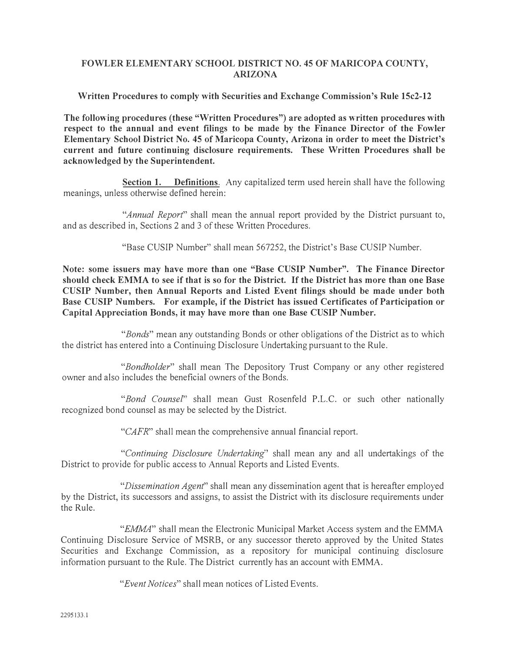## **FOWLER ELEMENT ARY SCHOOL DISTRICT NO. 45 OF MARICOPA COUNTY, ARIZONA**

#### **Written Procedures to comply with Securities and Exchange Commission's Rule 15c2-12**

**The following procedures (these "Written Procedures") are adopted as written procedures with respect to the annual and event filings to be made by the Finance Director of the Fowler Elementary School District No. 45 of Maricopa County, Arizona in order to meet the District's current and future continuing disclosure requirements. These Written Procedures shall be acknowledged by the Superintendent.** 

**Section 1. Definitions.** Any capitalized term used herein shall have the following meanings, unless otherwise defined herein:

*"Annual Report"* shall mean the annual report provided by the District pursuant to, and as described in, Sections 2 and 3 of these Written Procedures.

"Base CUSIP Number" shall mean 567252, the District's Base CUSIP Number.

**Note: some issuers may have more than one "Base CUSIP Number". The Finance Director should check EMMA to see if that is so for the District. If the District has more than one Base CUSIP Number, then Annual Reports and Listed Event filings should be made under both Base CUSIP Numbers. For example, if the District has issued Certificates of Participation or Capital Appreciation Bonds, it may have more than one Base CUSIP Number.** 

*"Bonds"* mean any outstanding Bonds or other obligations of the District as to which the district has entered into a Continuing Disclosure Undertaking pursuant to the Rule.

*"Bondholder"* shall mean The Depository Trust Company or any other registered owner and also includes the beneficial owners of the Bonds.

*"Bond CounseI"* shall mean Gust Rosenfeld P.L.C. or such other nationally recognized bond counsel as may be selected by the District.

*"CAFR"* shall mean the comprehensive annual financial report.

*"Continuing Disclosure Undertaking"* shall mean any and all undertakings of the District to provide for public access to Annual Reports and Listed Events.

*"Dissemination Agent"* shall mean any dissemination agent that is hereafter employed by the District, its successors and assigns, to assist the District with its disclosure requirements under the Rule.

*"EMMA"* shall mean the Electronic Municipal Market Access system and the EMMA Continuing Disclosure Service of MSRB, or any successor thereto approved by the United States Securities and Exchange Commission, as a repository for municipal continuing disclosure information pursuant to the Rule. The District currently has an account with EMMA.

*"Event Notices"* shall mean notices of Listed Events.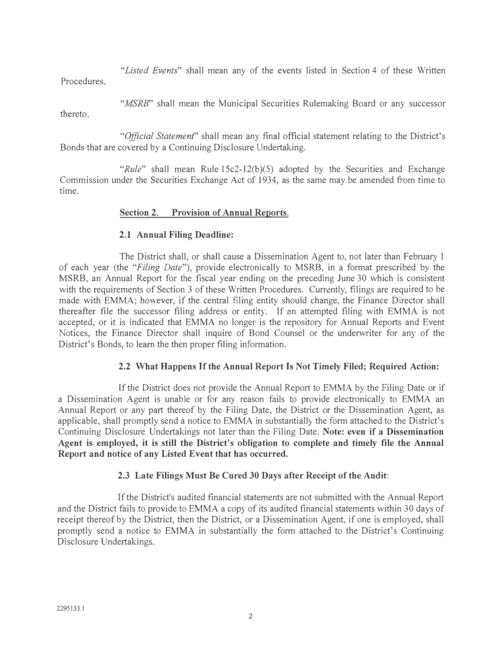*"Listed Events"* shall mean any of the events listed in Section 4 of these Written Procedures.

*"MSRB"* shall mean the Municipal Securities Rulemaking Board or any successor

thereto.

*"Official Statement'* shall mean any final official statement relating to the District's Bonds that are covered by a Continuing Disclosure Undertaking.

*"Rule"* shall mean Rule 15c2-12(b)(5) adopted by the Securities and Exchange Commission under the Securities Exchange Act of 1934, as the same may be amended from time to time.

# **Section 2. Provision of Annual Reports.**

# **2.1 Annual Filing Deadline:**

The District shall, or shall cause a Dissemination Agent to, not later than February 1 of each year (the *"Filing Date"),* provide electronically to MSRB, in a format prescribed by the MSRB, an Annual Report for the fiscal year ending on the preceding June 30 which is consistent with the requirements of Section 3 of these Written Procedures. Currently, filings are required to be made with EMMA; however, if the central filing entity should change, the Finance Director shall thereafter file the successor filing address or entity. If an attempted filing with EMMA is not accepted, or it is indicated that EMMA no longer is the repository for Annual Reports and Event Notices, the Finance Director shall inquire of Bond Counsel or the underwriter for any of the District's Bonds, to learn the then proper filing information.

# **2.2 What Happens If the Annual Report Is Not Timely Filed; Required Action:**

If the District does not provide the Annual Report to EMMA by the Filing Date or if a Dissemination Agent is unable or for any reason fails to provide electronically to EMMA an Annual Report or any part thereof by the Filing Date, the District or the Dissemination Agent, as applicable, shall promptly send a notice to EMMA in substantially the form attached to the District's Continuing Disclosure Undertakings not later than the Filing Date. **Note: even** if **a Dissemination Agent is employed, it is still the District's obligation to complete and timely file the Annual Report and notice of any Listed Event that has occurred.** 

# **2.3 Late Filings Must Be Cured 30 Days after Receipt of the Audit:**

If the District's audited financial statements are not submitted with the Annual Report and the District fails to provide to EMMA a copy of its audited financial statements within 30 days of receipt thereof by the District, then the District, or a Dissemination Agent, if one is employed, shall promptly send a notice to EMMA in substantially the form attached to the District's Continuing Disclosure Undertakings.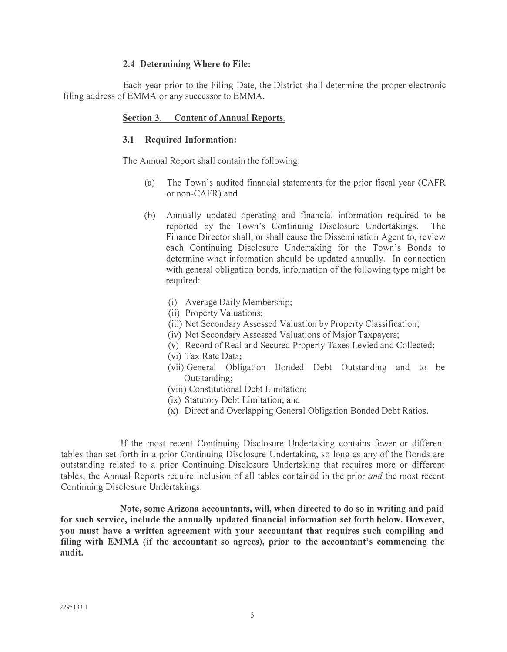#### **2.4 Determining Where to File:**

Each year prior to the Filing Date, the District shall determine the proper electronic filing address of EMMA or any successor to EMMA.

#### **Section 3. Content of Annual Reports.**

#### **3.1 Required Information:**

The Annual Report shall contain the following:

- (a) The Town's audited financial statements for the prior fiscal year (CAFR or non-CAFR) and
- (b) Annually updated operating and financial information required to be reported by the Town's Continuing Disclosure Undertakings. The Finance Director shall, or shall cause the Dissemination Agent to, review each Continuing Disclosure Undertaking for the Town's Bonds to determine what information should be updated annually. In connection with general obligation bonds, information of the following type might be required:
	- (i) Average Daily Membership;
	- (ii) Property Valuations;
	- (iii) Net Secondary Assessed Valuation by Property Classification;
	- (iv) Net Secondary Assessed Valuations of Major Taxpayers;
	- (v) Record of Real and Secured Property Taxes Levied and Collected;
	- (vi) Tax Rate Data;
	- (vii) General Obligation Bonded Debt Outstanding and to be Outstanding;
	- (viii) Constitutional Debt Limitation;
	- (ix) Statutory Debt Limitation; and
	- (x) Direct and Overlapping General Obligation Bonded Debt Ratios.

If the most recent Continuing Disclosure Undertaking contains fewer or different tables than set forth in a prior Continuing Disclosure Undertaking, so long as any of the Bonds are outstanding related to a prior Continuing Disclosure Undertaking that requires more or different tables, the Annual Reports require inclusion of all tables contained in the prior *and* the most recent Continuing Disclosure Undertakings.

**Note, some Arizona accountants, will, when directed to do so in writing and paid for such service, include the annually updated financial information set forth below. However, you must have a written agreement with your accountant that requires such compiling and filing with EMMA (if the accountant so agrees), prior to the accountant's commencing the audit.**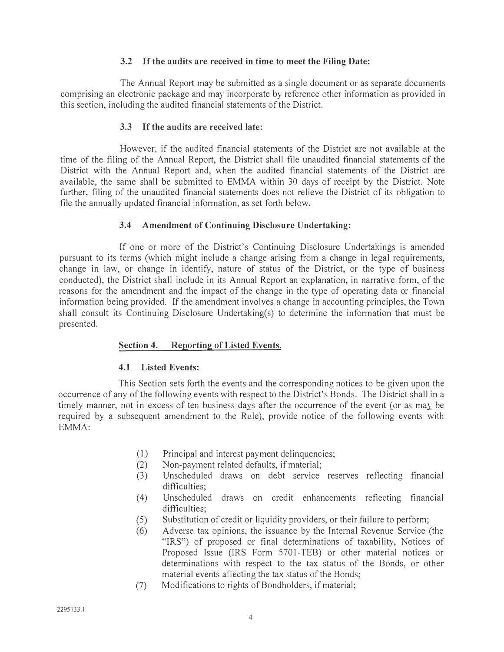## **3.2 If the audits are received in time to meet the Filing Date:**

The Annual Report may be submitted as a single document or as separate documents comprising an electronic package and may incorporate by reference other information as provided in this section, including the audited financial statements of the District.

## **3.3 If the audits are received late:**

However, if the audited financial statements of the District are not available at the time of the filing of the Annual Report, the District shall file unaudited financial statements of the District with the Annual Report and, when the audited financial statements of the District are available, the same shall be submitted to EMMA within 30 days of receipt by the District. Note further, filing of the unaudited financial statements does not relieve the District of its obligation to file the annually updated financial information, as set forth below.

#### **3.4 Amendment of Continuing Disclosure Undertaking:**

If one or more of the District's Continuing Disclosure Undertakings is amended pursuant to its terms (which might include a change arising from a change in legal requirements, change in law, or change in identify, nature of status of the District, or the type of business conducted), the District shall include in its Annual Report an explanation, in narrative form, of the reasons for the amendment and the impact of the change in the type of operating data or financial information being provided. If the amendment involves a change in accounting principles, the Town shall consult its Continuing Disclosure Undertaking(s) to determine the information that must be presented.

## **Section 4. Reporting of Listed Events.**

#### **4.1 Listed Events:**

This Section sets forth the events and the corresponding notices to be given upon the occurrence of any of the following events with respect to the District's Bonds. The District shall in a timely manner, not in excess of ten business days after the occurrence of the event (or as may be required by a subsequent amendment to the Rule), provide notice of the following events with EMMA:

- (1) Principal and interest payment delinquencies;
- (2) Non-payment related defaults, if material;
- (3) Unscheduled draws on debt service reserves reflecting financial difficulties:
- ( 4) Unscheduled draws on credit enhancements reflecting financial difficulties:
- (5) Substitution of credit or liquidity providers, or their failure to perform;
- (6) Adverse tax opinions, the issuance by the Internal Revenue Service (the "IRS") of proposed or final determinations of taxability, Notices of Proposed Issue (IRS Form 5701-TEB) or other material notices or determinations with respect to the tax status of the Bonds, or other material events affecting the tax status of the Bonds;
- (7) Modifications to rights of Bondholders, if material;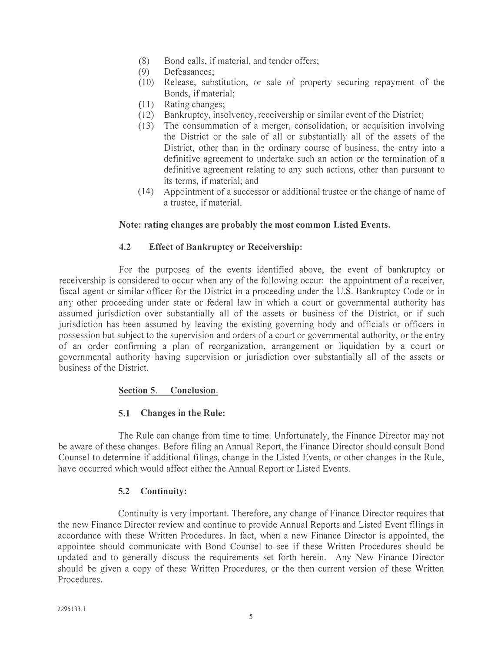- (8) Bond calls, if material, and tender offers;
- (9) Defeasances;
- (10) Release, substitution, or sale of property securing repayment of the Bonds, if material;
- ( 11) Rating changes;
- (12) Bankruptcy, insolYency, receivership or similar event of the District;
- (13) The consummation of a merger, consolidation, or acquisition involving the District or the sale of all or substantially all of the assets of the District, other than in the ordinary course of business, the entry into a definitive agreement to undertake such an action or the termination of a definitive agreement relating to any such actions, other than pursuant to its terms, if material; and
- (14) Appointment of a successor or additional trustee or the change of name of a trustee, if material.

## **Note: rating changes are probably the most common Listed Events.**

## **4.2 Effect of Bankruptcy or Receivership:**

For the purposes of the events identified above, the event of bankruptcy or receivership is considered to occur when any of the following occur: the appointment of a receiver, fiscal agent or similar officer for the District in a proceeding under the U.S. Bankruptcy Code or in any other proceeding under state or federal law in which a court or governmental authority has assumed jurisdiction over substantially all of the assets or business of the District, or if such jurisdiction has been assumed by leaving the existing governing body and officials or officers in possession but subject to the supervision and orders of a court or governmental authority, or the entry of an order confirming a plan of reorganization, arrangement or liquidation by a court or governmental authority having supervision or jurisdiction over substantially all of the assets or business of the District.

#### **Section 5. Conclusion.**

## **5.1 Changes in the Rule:**

The Rule can change from time to time. Unfortunately, the Finance Director may not be aware of these changes. Before filing an Annual Report, the Finance Director should consult Bond Counsel to determine if additional filings, change in the Listed Events, or other changes in the Rule, have occurred which would affect either the Annual Report or Listed Events.

#### **5.2 Continuity:**

Continuity is very important. Therefore, any change of Finance Director requires that the new Finance Director review and continue to provide Annual Reports and Listed Event filings in accordance with these Written Procedures. In fact, when a new Finance Director is appointed, the appointee should communicate with Bond Counsel to see if these Written Procedures should be updated and to generally discuss the requirements set forth herein. Any New Finance Director should be given a copy of these Written Procedures, or the then current version of these Written Procedures.